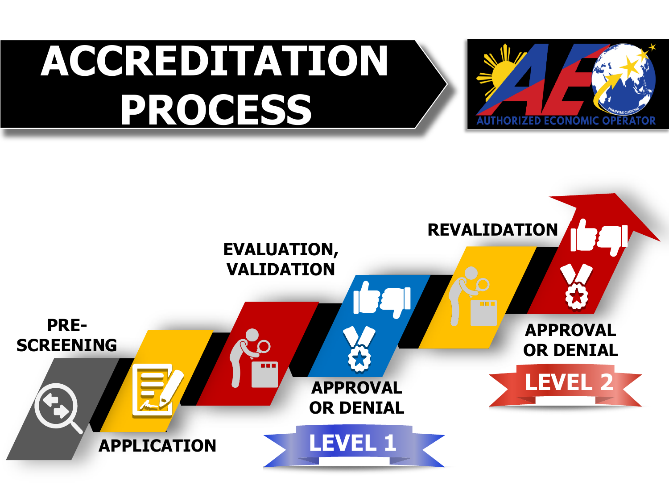

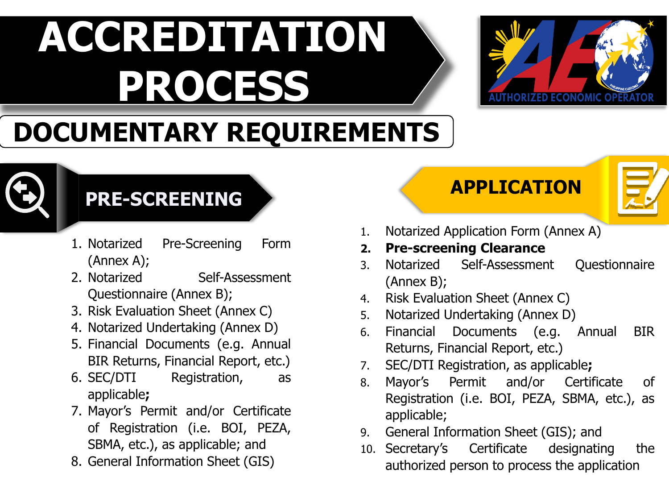

#### **DOCUMENTARY REQUIREMENTS**



#### **PRE-SCREENING APPLICATION**

- 1. Notarized Pre-Screening Form (Annex A);
- 2. Notarized Self-Assessment Questionnaire (Annex B);
- 3. Risk Evaluation Sheet (Annex C)
- 4. Notarized Undertaking (Annex D)
- 5. Financial Documents (e.g. Annual BIR Returns, Financial Report, etc.)
- 6. SEC/DTI Registration, as applicable**;**
- 7. Mayor's Permit and/or Certificate of Registration (i.e. BOI, PEZA, SBMA, etc.), as applicable; and
- 8. General Information Sheet (GIS)



- 1. Notarized Application Form (Annex A)
- **2. Pre-screening Clearance**
- 3. Notarized Self-Assessment Questionnaire (Annex B);
- 4. Risk Evaluation Sheet (Annex C)
- 5. Notarized Undertaking (Annex D)
- 6. Financial Documents (e.g. Annual BIR Returns, Financial Report, etc.)
- 7. SEC/DTI Registration, as applicable**;**
- 8. Mayor's Permit and/or Certificate of Registration (i.e. BOI, PEZA, SBMA, etc.), as applicable;
- 9. General Information Sheet (GIS); and
- 10. Secretary's Certificate designating the authorized person to process the application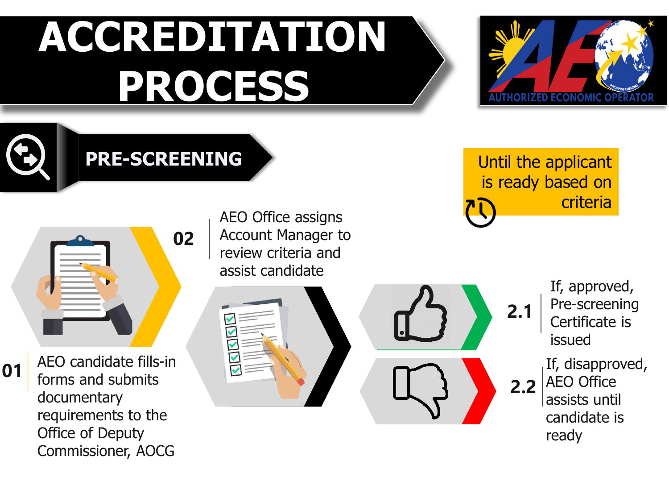



**01**

**PRE-SCREENING**



AEO candidate fills-in forms and submits documentary requirements to the Office of Deputy Commissioner, AOCG

AEO Office assigns Account Manager to review criteria and assist candidate





Until the applicant is ready based on criteria

> If, approved, Pre-screening Certificate is issued If, disapproved, AEO Office assists until candidate is ready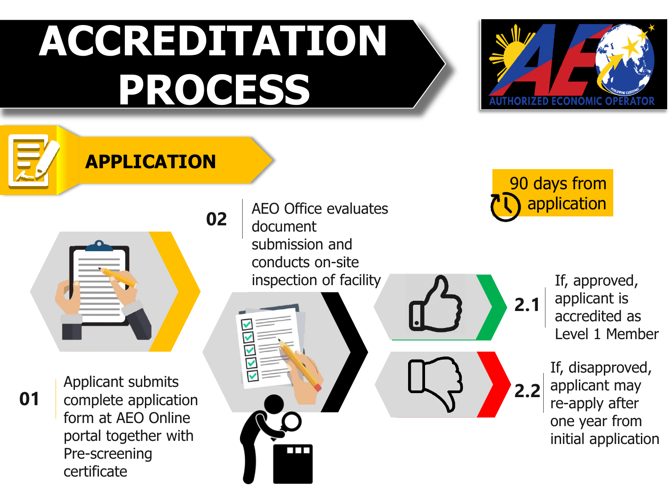

**APPLICATION**



**01**

Applicant submits complete application form at AEO Online portal together with Pre-screening certificate

AEO Office evaluates document submission and conducts on-site inspection of facility

90 days from application

**2.1**

If, approved, applicant is accredited as Level 1 Member

If, disapproved, applicant may re-apply after one year from initial application **2.2**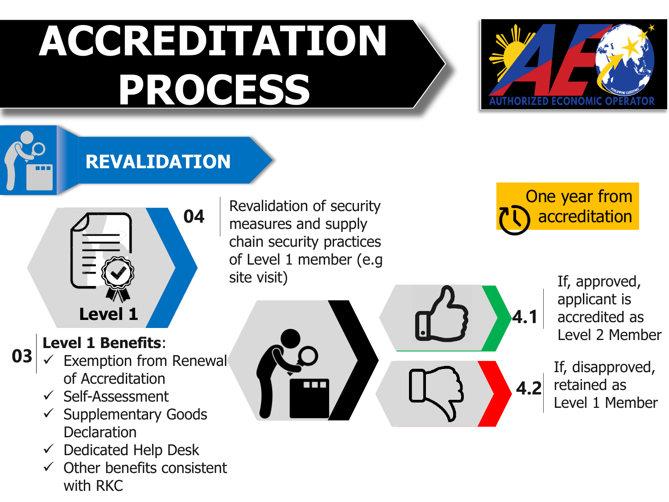Revalidation of security

chain security practices of Level 1 member (e.g

measures and supply

site visit)



**REVALIDATION**



One year from accreditation

**4.1**

**4.2**

If, approved, applicant is accredited as Level 2 Member

If, disapproved, retained as Level 1 Member

#### **Level 1 Benefits**:

**03**

- Exemption from Renewal of Accreditation
- $\checkmark$  Self-Assessment
- $\checkmark$  Supplementary Goods **Declaration**
- $\checkmark$  Dedicated Help Desk
- $\checkmark$  Other benefits consistent with RKC